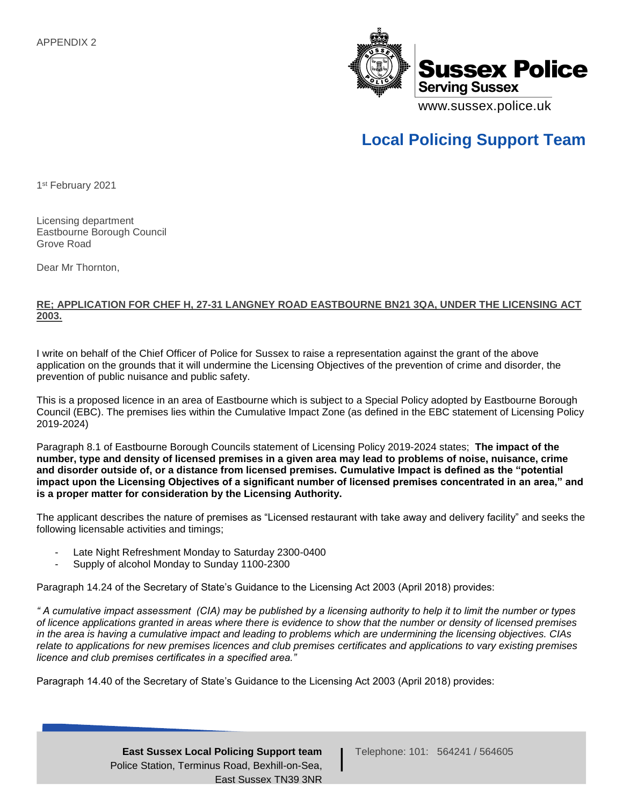

## **Local Policing Support Team**

1 st February 2021

Licensing department Eastbourne Borough Council Grove Road

Dear Mr Thornton,

## **RE; APPLICATION FOR CHEF H, 27-31 LANGNEY ROAD EASTBOURNE BN21 3QA, UNDER THE LICENSING ACT 2003.**

I write on behalf of the Chief Officer of Police for Sussex to raise a representation against the grant of the above application on the grounds that it will undermine the Licensing Objectives of the prevention of crime and disorder, the prevention of public nuisance and public safety.

This is a proposed licence in an area of Eastbourne which is subject to a Special Policy adopted by Eastbourne Borough Council (EBC). The premises lies within the Cumulative Impact Zone (as defined in the EBC statement of Licensing Policy 2019-2024)

Paragraph 8.1 of Eastbourne Borough Councils statement of Licensing Policy 2019-2024 states; **The impact of the number, type and density of licensed premises in a given area may lead to problems of noise, nuisance, crime and disorder outside of, or a distance from licensed premises. Cumulative Impact is defined as the "potential impact upon the Licensing Objectives of a significant number of licensed premises concentrated in an area," and is a proper matter for consideration by the Licensing Authority.**

The applicant describes the nature of premises as "Licensed restaurant with take away and delivery facility" and seeks the following licensable activities and timings;

- Late Night Refreshment Monday to Saturday 2300-0400
- Supply of alcohol Monday to Sunday 1100-2300

Paragraph 14.24 of the Secretary of State's Guidance to the Licensing Act 2003 (April 2018) provides:

*" A cumulative impact assessment (CIA) may be published by a licensing authority to help it to limit the number or types of licence applications granted in areas where there is evidence to show that the number or density of licensed premises in the area is having a cumulative impact and leading to problems which are undermining the licensing objectives. CIAs relate to applications for new premises licences and club premises certificates and applications to vary existing premises licence and club premises certificates in a specified area."* 

Paragraph 14.40 of the Secretary of State's Guidance to the Licensing Act 2003 (April 2018) provides:

Telephone: 101: 564241 / 564605